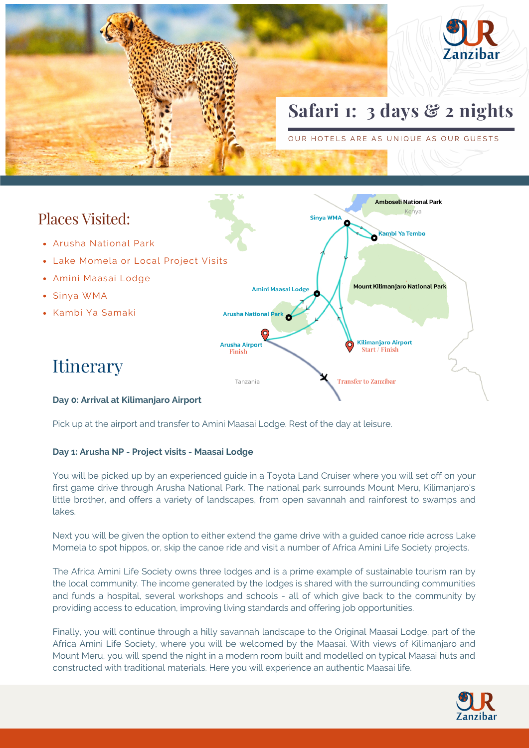



- Arusha National Park
- Lake Momela or Local Project Visits
- Amini Maasai Lodge
- Sinya WMA
- Kambi Ya Samaki



## **Itinerary**

#### **Day 0: Arrival at Kilimanjaro Airport**

Pick up at the airport and transfer to Amini Maasai Lodge. Rest of the day at leisure.

### **Day 1: Arusha NP - Project visits - Maasai Lodge**

You will be picked up by an experienced guide in a Toyota Land Cruiser where you will set off on your first game drive through Arusha National Park. The national park surrounds Mount Meru, Kilimanjaro's little brother, and offers a variety of landscapes, from open savannah and rainforest to swamps and lakes.

Next you will be given the option to either extend the game drive with a guided canoe ride across Lake Momela to spot hippos, or, skip the canoe ride and visit a number of Africa Amini Life Society projects.

The Africa Amini Life Society owns three lodges and is a prime example of sustainable tourism ran by the local community. The income generated by the lodges is shared with the surrounding communities and funds a hospital, several workshops and schools - all of which give back to the community by providing access to education, improving living standards and offering job opportunities.

Finally, you will continue through a hilly savannah landscape to the Original Maasai Lodge, part of the Africa Amini Life Society, where you will be welcomed by the Maasai. With views of Kilimanjaro and Mount Meru, you will spend the night in a modern room built and modelled on typical Maasai huts and constructed with traditional materials. Here you will experience an authentic Maasai life.